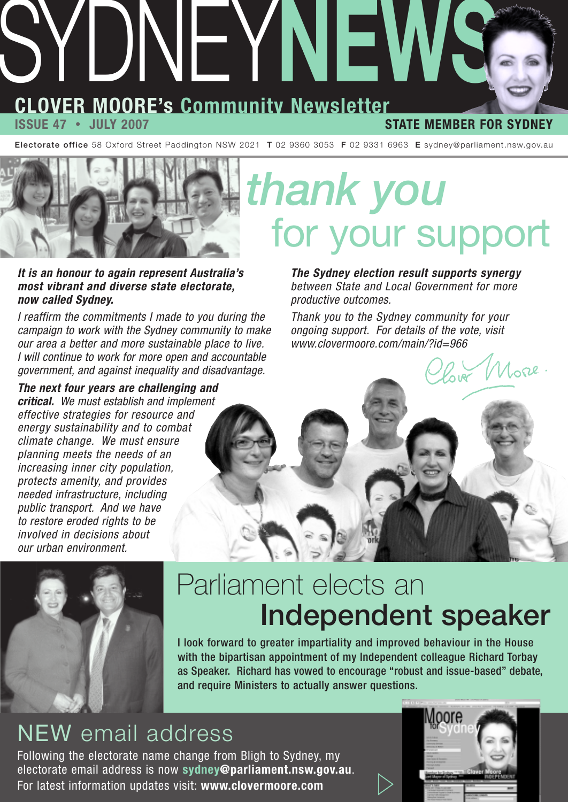# **CLOVER MOORE's Community Newsletter** SYDNEY**NEWS**

#### **ISSUE 47 • JULY 2007 STATE MEMBER FOR SYDNEY**

 $11$ ore.

**Electorate office** 58 Oxford Street Paddington NSW 2021 **T** 02 9360 3053 **F** 02 9331 6963 **E** sydney@parliament.nsw.gov.au



**It is an honour to again represent Australia's most vibrant and diverse state electorate, now called Sydney.**

I reaffirm the commitments I made to you during the campaign to work with the Sydney community to make our area a better and more sustainable place to live. I will continue to work for more open and accountable government, and against inequality and disadvantage.

**The next four years are challenging and critical.** We must establish and implement effective strategies for resource and energy sustainability and to combat climate change. We must ensure planning meets the needs of an increasing inner city population, protects amenity, and provides needed infrastructure, including public transport. And we have to restore eroded rights to be involved in decisions about our urban environment.

# *thank you*  for your support

**The Sydney election result supports synergy** between State and Local Government for more productive outcomes.

Thank you to the Sydney community for your ongoing support. For details of the vote, visit www.clovermoore.com/main/?id=966



### Parliament elects an **Independent speaker**

I look forward to greater impartiality and improved behaviour in the House with the bipartisan appointment of my Independent colleague Richard Torbay as Speaker. Richard has vowed to encourage "robust and issue-based" debate, and require Ministers to actually answer questions.

### NEW email address

Following the electorate name change from Bligh to Sydney, my electorate email address is now **sydney@parliament.nsw.gov.au**. For latest information updates visit: **www.clovermoore.com** 

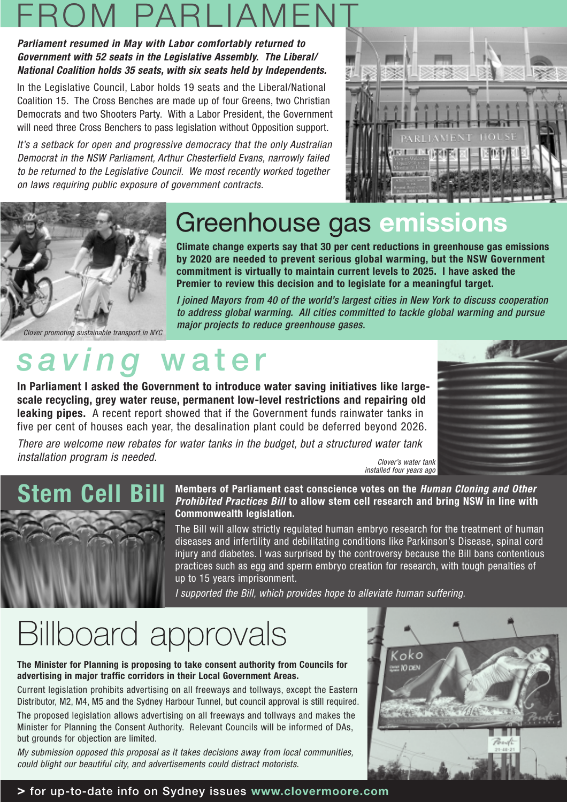### FROM PARLIAMENT

#### **Parliament resumed in May with Labor comfortably returned to Government with 52 seats in the Legislative Assembly. The Liberal/ National Coalition holds 35 seats, with six seats held by Independents.**

In the Legislative Council, Labor holds 19 seats and the Liberal/National Coalition 15. The Cross Benches are made up of four Greens, two Christian Democrats and two Shooters Party. With a Labor President, the Government will need three Cross Benchers to pass legislation without Opposition support.

It's a setback for open and progressive democracy that the only Australian Democrat in the NSW Parliament, Arthur Chesterfield Evans, narrowly failed to be returned to the Legislative Council. We most recently worked together on laws requiring public exposure of government contracts.





### Greenhouse gas **emissions**

**Climate change experts say that 30 per cent reductions in greenhouse gas emissions by 2020 are needed to prevent serious global warming, but the NSW Government commitment is virtually to maintain current levels to 2025. I have asked the Premier to review this decision and to legislate for a meaningful target.**

I joined Mayors from 40 of the world's largest cities in New York to discuss cooperation to address global warming. All cities committed to tackle global warming and pursue major projects to reduce greenhouse gases.

Clover promoting sustainable transport in NYC

### *saving* **water**

**In Parliament I asked the Government to introduce water saving initiatives like largescale recycling, grey water reuse, permanent low-level restrictions and repairing old leaking pipes.** A recent report showed that if the Government funds rainwater tanks in five per cent of houses each year, the desalination plant could be deferred beyond 2026.

There are welcome new rebates for water tanks in the budget, but a structured water tank installation program is needed. Clover's water tank





**Members of Parliament cast conscience votes on the Human Cloning and Other Prohibited Practices Bill to allow stem cell research and bring NSW in line with Commonwealth legislation.**

The Bill will allow strictly regulated human embryo research for the treatment of human diseases and infertility and debilitating conditions like Parkinson's Disease, spinal cord injury and diabetes. I was surprised by the controversy because the Bill bans contentious practices such as egg and sperm embryo creation for research, with tough penalties of up to 15 years imprisonment.

I supported the Bill, which provides hope to alleviate human suffering.

### Billboard approvals

**The Minister for Planning is proposing to take consent authority from Councils for advertising in major traffic corridors in their Local Government Areas.**

Current legislation prohibits advertising on all freeways and tollways, except the Eastern Distributor, M2, M4, M5 and the Sydney Harbour Tunnel, but council approval is still required.

The proposed legislation allows advertising on all freeways and tollways and makes the Minister for Planning the Consent Authority. Relevant Councils will be informed of DAs, but grounds for objection are limited.

My submission opposed this proposal as it takes decisions away from local communities, could blight our beautiful city, and advertisements could distract motorists.

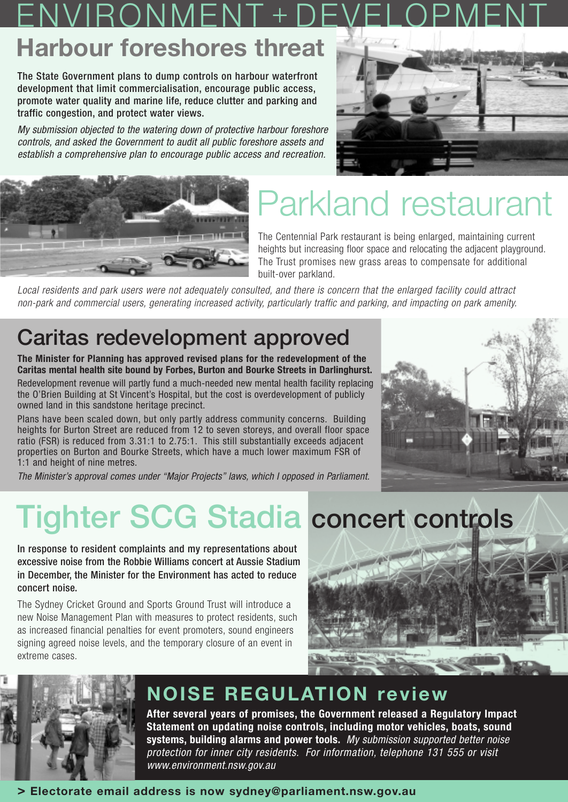#### **Harbour foreshores threat** IVIRONMEN

The State Government plans to dump controls on harbour waterfront development that limit commercialisation, encourage public access, promote water quality and marine life, reduce clutter and parking and traffic congestion, and protect water views.

My submission objected to the watering down of protective harbour foreshore controls, and asked the Government to audit all public foreshore assets and establish a comprehensive plan to encourage public access and recreation.





## Parkland restaurant

The Centennial Park restaurant is being enlarged, maintaining current heights but increasing floor space and relocating the adjacent playground. The Trust promises new grass areas to compensate for additional built-over parkland.

Local residents and park users were not adequately consulted, and there is concern that the enlarged facility could attract non-park and commercial users, generating increased activity, particularly traffic and parking, and impacting on park amenity.

#### **Caritas redevelopment approved**

**The Minister for Planning has approved revised plans for the redevelopment of the Caritas mental health site bound by Forbes, Burton and Bourke Streets in Darlinghurst.**

Redevelopment revenue will partly fund a much-needed new mental health facility replacing the O'Brien Building at St Vincent's Hospital, but the cost is overdevelopment of publicly owned land in this sandstone heritage precinct.

Plans have been scaled down, but only partly address community concerns. Building heights for Burton Street are reduced from 12 to seven storeys, and overall floor space ratio (FSR) is reduced from 3.31:1 to 2.75:1. This still substantially exceeds adjacent properties on Burton and Bourke Streets, which have a much lower maximum FSR of 1:1 and height of nine metres.

The Minister's approval comes under "Major Projects" laws, which I opposed in Parliament.



## **Tighter SCG Stadia concert controls**

In response to resident complaints and my representations about excessive noise from the Robbie Williams concert at Aussie Stadium in December, the Minister for the Environment has acted to reduce concert noise.

The Sydney Cricket Ground and Sports Ground Trust will introduce a new Noise Management Plan with measures to protect residents, such as increased financial penalties for event promoters, sound engineers signing agreed noise levels, and the temporary closure of an event in extreme cases.





#### **NOISE REGULATION review**

**After several years of promises, the Government released a Regulatory Impact Statement on updating noise controls, including motor vehicles, boats, sound systems, building alarms and power tools.** My submission supported better noise protection for inner city residents. For information, telephone 131 555 or visit www.environment.nsw.gov.au

#### **> Electorate email address is now sydney@parliament.nsw.gov.au**